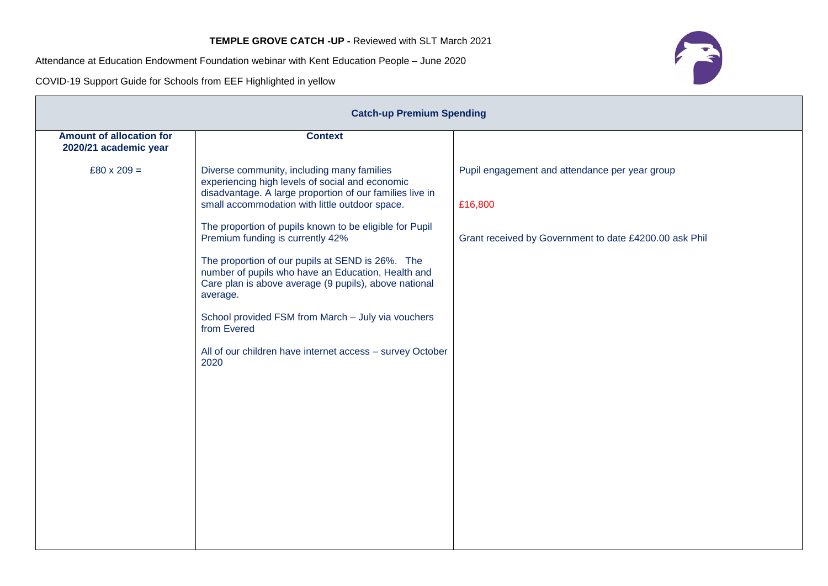Attendance at Education Endowment Foundation webinar with Kent Education People – June 2020

COVID-19 Support Guide for Schools from EEF Highlighted in yellow

| <b>Catch-up Premium Spending</b>                         |                                                                                                                                                                                                                                                                                                                                                                                                                                                                                                                                                                                                                                     |                                                                                                                     |  |  |
|----------------------------------------------------------|-------------------------------------------------------------------------------------------------------------------------------------------------------------------------------------------------------------------------------------------------------------------------------------------------------------------------------------------------------------------------------------------------------------------------------------------------------------------------------------------------------------------------------------------------------------------------------------------------------------------------------------|---------------------------------------------------------------------------------------------------------------------|--|--|
| <b>Amount of allocation for</b><br>2020/21 academic year | <b>Context</b>                                                                                                                                                                                                                                                                                                                                                                                                                                                                                                                                                                                                                      |                                                                                                                     |  |  |
| $£80 \times 209 =$                                       | Diverse community, including many families<br>experiencing high levels of social and economic<br>disadvantage. A large proportion of our families live in<br>small accommodation with little outdoor space.<br>The proportion of pupils known to be eligible for Pupil<br>Premium funding is currently 42%<br>The proportion of our pupils at SEND is 26%. The<br>number of pupils who have an Education, Health and<br>Care plan is above average (9 pupils), above national<br>average.<br>School provided FSM from March - July via vouchers<br>from Evered<br>All of our children have internet access - survey October<br>2020 | Pupil engagement and attendance per year group<br>£16,800<br>Grant received by Government to date £4200.00 ask Phil |  |  |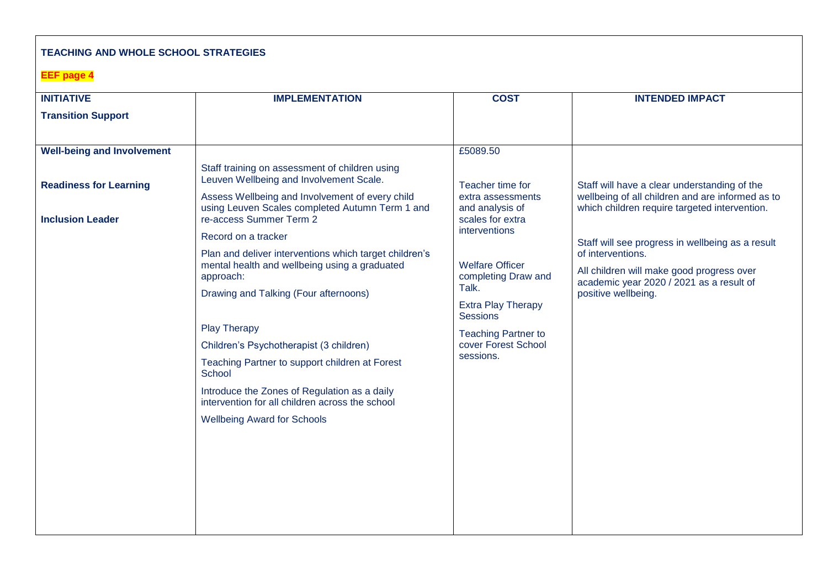## **TEACHING AND WHOLE SCHOOL STRATEGIES**

## **EEF page 4**

| <b>INITIATIVE</b>                                        | <b>IMPLEMENTATION</b>                                                                                                                                                                                                                                                                                                                                                                                                                                       | <b>COST</b>                                                                                                                                                                               | <b>INTENDED IMPACT</b>                                                                                                                                                                |
|----------------------------------------------------------|-------------------------------------------------------------------------------------------------------------------------------------------------------------------------------------------------------------------------------------------------------------------------------------------------------------------------------------------------------------------------------------------------------------------------------------------------------------|-------------------------------------------------------------------------------------------------------------------------------------------------------------------------------------------|---------------------------------------------------------------------------------------------------------------------------------------------------------------------------------------|
| <b>Transition Support</b>                                |                                                                                                                                                                                                                                                                                                                                                                                                                                                             |                                                                                                                                                                                           |                                                                                                                                                                                       |
|                                                          |                                                                                                                                                                                                                                                                                                                                                                                                                                                             |                                                                                                                                                                                           |                                                                                                                                                                                       |
| <b>Well-being and Involvement</b>                        |                                                                                                                                                                                                                                                                                                                                                                                                                                                             | £5089.50                                                                                                                                                                                  |                                                                                                                                                                                       |
| <b>Readiness for Learning</b><br><b>Inclusion Leader</b> | Staff training on assessment of children using<br>Leuven Wellbeing and Involvement Scale.<br>Assess Wellbeing and Involvement of every child<br>using Leuven Scales completed Autumn Term 1 and<br>re-access Summer Term 2                                                                                                                                                                                                                                  | Teacher time for<br>extra assessments<br>and analysis of<br>scales for extra                                                                                                              | Staff will have a clear understanding of the<br>wellbeing of all children and are informed as to<br>which children require targeted intervention.                                     |
|                                                          | Record on a tracker<br>Plan and deliver interventions which target children's<br>mental health and wellbeing using a graduated<br>approach:<br>Drawing and Talking (Four afternoons)<br><b>Play Therapy</b><br>Children's Psychotherapist (3 children)<br>Teaching Partner to support children at Forest<br>School<br>Introduce the Zones of Regulation as a daily<br>intervention for all children across the school<br><b>Wellbeing Award for Schools</b> | interventions<br><b>Welfare Officer</b><br>completing Draw and<br>Talk.<br><b>Extra Play Therapy</b><br><b>Sessions</b><br><b>Teaching Partner to</b><br>cover Forest School<br>sessions. | Staff will see progress in wellbeing as a result<br>of interventions.<br>All children will make good progress over<br>academic year 2020 / 2021 as a result of<br>positive wellbeing. |
|                                                          |                                                                                                                                                                                                                                                                                                                                                                                                                                                             |                                                                                                                                                                                           |                                                                                                                                                                                       |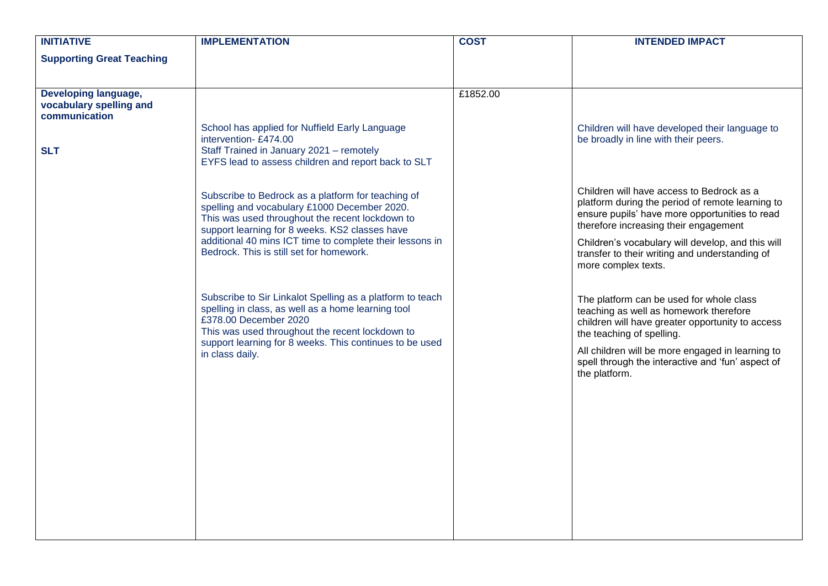| <b>INITIATIVE</b>                                                | <b>IMPLEMENTATION</b>                                                                                                                                                                                                                                                                                           | <b>COST</b> | <b>INTENDED IMPACT</b>                                                                                                                                                                                                                                                                                                 |
|------------------------------------------------------------------|-----------------------------------------------------------------------------------------------------------------------------------------------------------------------------------------------------------------------------------------------------------------------------------------------------------------|-------------|------------------------------------------------------------------------------------------------------------------------------------------------------------------------------------------------------------------------------------------------------------------------------------------------------------------------|
| <b>Supporting Great Teaching</b>                                 |                                                                                                                                                                                                                                                                                                                 |             |                                                                                                                                                                                                                                                                                                                        |
| Developing language,<br>vocabulary spelling and<br>communication |                                                                                                                                                                                                                                                                                                                 | £1852.00    |                                                                                                                                                                                                                                                                                                                        |
| <b>SLT</b>                                                       | School has applied for Nuffield Early Language<br>intervention-£474.00<br>Staff Trained in January 2021 - remotely<br>EYFS lead to assess children and report back to SLT                                                                                                                                       |             | Children will have developed their language to<br>be broadly in line with their peers.                                                                                                                                                                                                                                 |
|                                                                  | Subscribe to Bedrock as a platform for teaching of<br>spelling and vocabulary £1000 December 2020.<br>This was used throughout the recent lockdown to<br>support learning for 8 weeks. KS2 classes have<br>additional 40 mins ICT time to complete their lessons in<br>Bedrock. This is still set for homework. |             | Children will have access to Bedrock as a<br>platform during the period of remote learning to<br>ensure pupils' have more opportunities to read<br>therefore increasing their engagement<br>Children's vocabulary will develop, and this will<br>transfer to their writing and understanding of<br>more complex texts. |
|                                                                  | Subscribe to Sir Linkalot Spelling as a platform to teach<br>spelling in class, as well as a home learning tool<br>£378.00 December 2020<br>This was used throughout the recent lockdown to<br>support learning for 8 weeks. This continues to be used<br>in class daily.                                       |             | The platform can be used for whole class<br>teaching as well as homework therefore<br>children will have greater opportunity to access<br>the teaching of spelling.<br>All children will be more engaged in learning to<br>spell through the interactive and 'fun' aspect of<br>the platform.                          |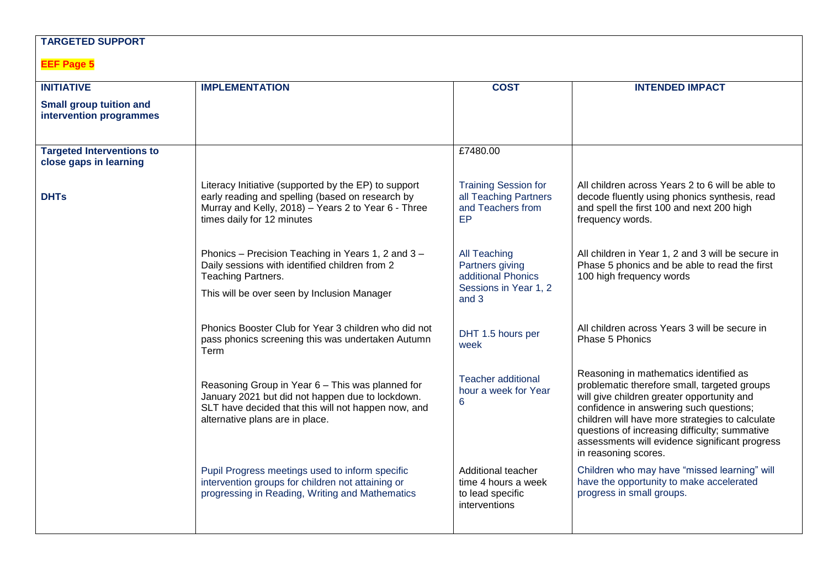## **TARGETED SUPPORT**

## **EEF Page 5**

| <b>INITIATIVE</b>                                          | <b>IMPLEMENTATION</b>                                                                                                                                                                          | <b>COST</b>                                                                             | <b>INTENDED IMPACT</b>                                                                                                                                                                                                                                                                                                                                        |
|------------------------------------------------------------|------------------------------------------------------------------------------------------------------------------------------------------------------------------------------------------------|-----------------------------------------------------------------------------------------|---------------------------------------------------------------------------------------------------------------------------------------------------------------------------------------------------------------------------------------------------------------------------------------------------------------------------------------------------------------|
| <b>Small group tuition and</b><br>intervention programmes  |                                                                                                                                                                                                |                                                                                         |                                                                                                                                                                                                                                                                                                                                                               |
| <b>Targeted Interventions to</b><br>close gaps in learning |                                                                                                                                                                                                | £7480.00                                                                                |                                                                                                                                                                                                                                                                                                                                                               |
| <b>DHTs</b>                                                | Literacy Initiative (supported by the EP) to support<br>early reading and spelling (based on research by<br>Murray and Kelly, 2018) - Years 2 to Year 6 - Three<br>times daily for 12 minutes  | <b>Training Session for</b><br>all Teaching Partners<br>and Teachers from<br>EP         | All children across Years 2 to 6 will be able to<br>decode fluently using phonics synthesis, read<br>and spell the first 100 and next 200 high<br>frequency words.                                                                                                                                                                                            |
|                                                            | Phonics - Precision Teaching in Years 1, 2 and 3 -<br>Daily sessions with identified children from 2<br>Teaching Partners.<br>This will be over seen by Inclusion Manager                      | All Teaching<br>Partners giving<br>additional Phonics<br>Sessions in Year 1, 2<br>and 3 | All children in Year 1, 2 and 3 will be secure in<br>Phase 5 phonics and be able to read the first<br>100 high frequency words                                                                                                                                                                                                                                |
|                                                            | Phonics Booster Club for Year 3 children who did not<br>pass phonics screening this was undertaken Autumn<br>Term                                                                              | DHT 1.5 hours per<br>week                                                               | All children across Years 3 will be secure in<br>Phase 5 Phonics                                                                                                                                                                                                                                                                                              |
|                                                            | Reasoning Group in Year 6 - This was planned for<br>January 2021 but did not happen due to lockdown.<br>SLT have decided that this will not happen now, and<br>alternative plans are in place. | <b>Teacher additional</b><br>hour a week for Year<br>6                                  | Reasoning in mathematics identified as<br>problematic therefore small, targeted groups<br>will give children greater opportunity and<br>confidence in answering such questions;<br>children will have more strategies to calculate<br>questions of increasing difficulty; summative<br>assessments will evidence significant progress<br>in reasoning scores. |
|                                                            | Pupil Progress meetings used to inform specific<br>intervention groups for children not attaining or<br>progressing in Reading, Writing and Mathematics                                        | Additional teacher<br>time 4 hours a week<br>to lead specific<br>interventions          | Children who may have "missed learning" will<br>have the opportunity to make accelerated<br>progress in small groups.                                                                                                                                                                                                                                         |